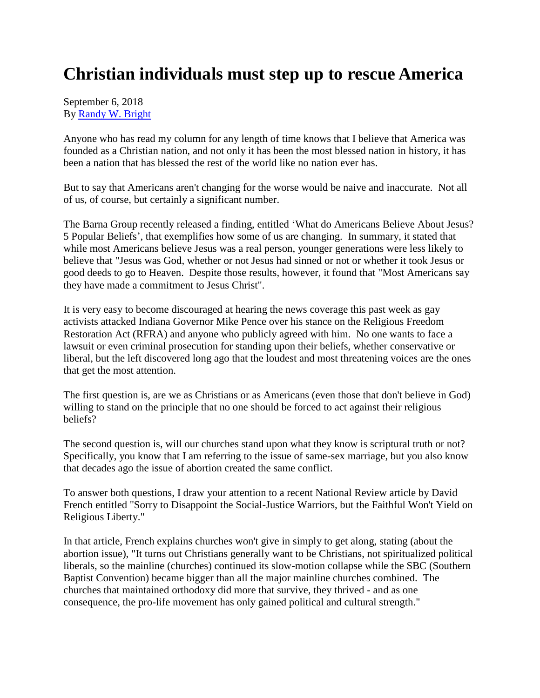## **Christian individuals must step up to rescue America**

## September 6, 2018 By [Randy W. Bright](http://www.tulsabeacon.com/author/slug-o6yd1v)

Anyone who has read my column for any length of time knows that I believe that America was founded as a Christian nation, and not only it has been the most blessed nation in history, it has been a nation that has blessed the rest of the world like no nation ever has.

But to say that Americans aren't changing for the worse would be naive and inaccurate. Not all of us, of course, but certainly a significant number.

The Barna Group recently released a finding, entitled 'What do Americans Believe About Jesus? 5 Popular Beliefs', that exemplifies how some of us are changing. In summary, it stated that while most Americans believe Jesus was a real person, younger generations were less likely to believe that "Jesus was God, whether or not Jesus had sinned or not or whether it took Jesus or good deeds to go to Heaven. Despite those results, however, it found that "Most Americans say they have made a commitment to Jesus Christ".

It is very easy to become discouraged at hearing the news coverage this past week as gay activists attacked Indiana Governor Mike Pence over his stance on the Religious Freedom Restoration Act (RFRA) and anyone who publicly agreed with him. No one wants to face a lawsuit or even criminal prosecution for standing upon their beliefs, whether conservative or liberal, but the left discovered long ago that the loudest and most threatening voices are the ones that get the most attention.

The first question is, are we as Christians or as Americans (even those that don't believe in God) willing to stand on the principle that no one should be forced to act against their religious beliefs?

The second question is, will our churches stand upon what they know is scriptural truth or not? Specifically, you know that I am referring to the issue of same-sex marriage, but you also know that decades ago the issue of abortion created the same conflict.

To answer both questions, I draw your attention to a recent National Review article by David French entitled "Sorry to Disappoint the Social-Justice Warriors, but the Faithful Won't Yield on Religious Liberty."

In that article, French explains churches won't give in simply to get along, stating (about the abortion issue), "It turns out Christians generally want to be Christians, not spiritualized political liberals, so the mainline (churches) continued its slow-motion collapse while the SBC (Southern Baptist Convention) became bigger than all the major mainline churches combined. The churches that maintained orthodoxy did more that survive, they thrived - and as one consequence, the pro-life movement has only gained political and cultural strength."